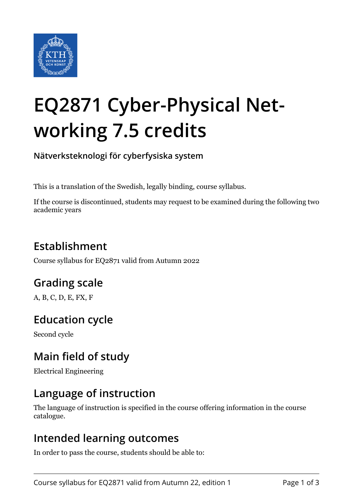

# **EQ2871 Cyber-Physical Networking 7.5 credits**

**Nätverksteknologi för cyberfysiska system**

This is a translation of the Swedish, legally binding, course syllabus.

If the course is discontinued, students may request to be examined during the following two academic years

## **Establishment**

Course syllabus for EQ2871 valid from Autumn 2022

## **Grading scale**

A, B, C, D, E, FX, F

## **Education cycle**

Second cycle

## **Main field of study**

Electrical Engineering

## **Language of instruction**

The language of instruction is specified in the course offering information in the course catalogue.

#### **Intended learning outcomes**

In order to pass the course, students should be able to: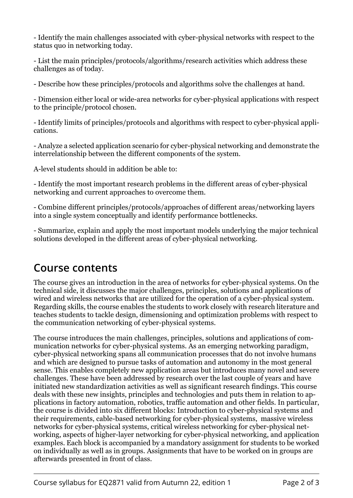- Identify the main challenges associated with cyber-physical networks with respect to the status quo in networking today.

- List the main principles/protocols/algorithms/research activities which address these challenges as of today.

- Describe how these principles/protocols and algorithms solve the challenges at hand.

- Dimension either local or wide-area networks for cyber-physical applications with respect to the principle/protocol chosen.

- Identify limits of principles/protocols and algorithms with respect to cyber-physical applications.

- Analyze a selected application scenario for cyber-physical networking and demonstrate the interrelationship between the different components of the system.

A-level students should in addition be able to:

- Identify the most important research problems in the different areas of cyber-physical networking and current approaches to overcome them.

- Combine different principles/protocols/approaches of different areas/networking layers into a single system conceptually and identify performance bottlenecks.

- Summarize, explain and apply the most important models underlying the major technical solutions developed in the different areas of cyber-physical networking.

## **Course contents**

The course gives an introduction in the area of networks for cyber-physical systems. On the technical side, it discusses the major challenges, principles, solutions and applications of wired and wireless networks that are utilized for the operation of a cyber-physical system. Regarding skills, the course enables the students to work closely with research literature and teaches students to tackle design, dimensioning and optimization problems with respect to the communication networking of cyber-physical systems.

The course introduces the main challenges, principles, solutions and applications of communication networks for cyber-physical systems. As an emerging networking paradigm, cyber-physical networking spans all communication processes that do not involve humans and which are designed to pursue tasks of automation and autonomy in the most general sense. This enables completely new application areas but introduces many novel and severe challenges. These have been addressed by research over the last couple of years and have initiated new standardization activities as well as significant research findings. This course deals with these new insights, principles and technologies and puts them in relation to applications in factory automation, robotics, traffic automation and other fields. In particular, the course is divided into six different blocks: Introduction to cyber-physical systems and their requirements, cable-based networking for cyber-physical systems, massive wireless networks for cyber-physical systems, critical wireless networking for cyber-physical networking, aspects of higher-layer networking for cyber-physical networking, and application examples. Each block is accompanied by a mandatory assignment for students to be worked on individually as well as in groups. Assignments that have to be worked on in groups are afterwards presented in front of class.